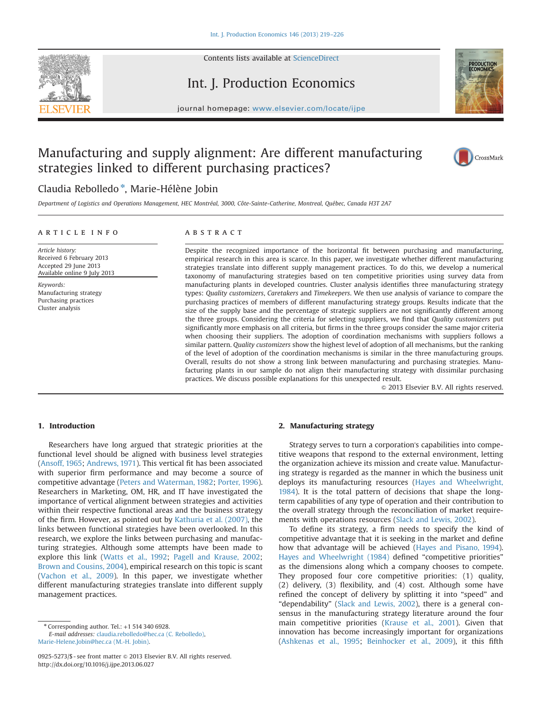

Contents lists available at [ScienceDirect](www.sciencedirect.com/science/journal/09255273)

# Int. J. Production Economics



journal homepage: <www.elsevier.com/locate/ijpe>

# Manufacturing and supply alignment: Are different manufacturing strategies linked to different purchasing practices?



# Claudia Rebolledo\*, Marie-Hélène Jobin

Department of Logistics and Operations Management, HEC Montréal, 3000, Côte-Sainte-Catherine, Montreal, Québec, Canada H3T 2A7

#### article info

Article history: Received 6 February 2013 Accepted 29 June 2013 Available online 9 July 2013

Keywords: Manufacturing strategy Purchasing practices Cluster analysis

# ABSTRACT

Despite the recognized importance of the horizontal fit between purchasing and manufacturing, empirical research in this area is scarce. In this paper, we investigate whether different manufacturing strategies translate into different supply management practices. To do this, we develop a numerical taxonomy of manufacturing strategies based on ten competitive priorities using survey data from manufacturing plants in developed countries. Cluster analysis identifies three manufacturing strategy types: Quality customizers, Caretakers and Timekeepers. We then use analysis of variance to compare the purchasing practices of members of different manufacturing strategy groups. Results indicate that the size of the supply base and the percentage of strategic suppliers are not significantly different among the three groups. Considering the criteria for selecting suppliers, we find that Quality customizers put significantly more emphasis on all criteria, but firms in the three groups consider the same major criteria when choosing their suppliers. The adoption of coordination mechanisms with suppliers follows a similar pattern. Quality customizers show the highest level of adoption of all mechanisms, but the ranking of the level of adoption of the coordination mechanisms is similar in the three manufacturing groups. Overall, results do not show a strong link between manufacturing and purchasing strategies. Manufacturing plants in our sample do not align their manufacturing strategy with dissimilar purchasing practices. We discuss possible explanations for this unexpected result.

 $©$  2013 Elsevier B.V. All rights reserved.

## 1. Introduction

Researchers have long argued that strategic priorities at the functional level should be aligned with business level strategies ([Ansoff, 1965;](#page--1-0) [Andrews, 1971](#page--1-0)). This vertical fit has been associated with superior firm performance and may become a source of competitive advantage ([Peters and Waterman, 1982](#page--1-0); [Porter, 1996\)](#page--1-0). Researchers in Marketing, OM, HR, and IT have investigated the importance of vertical alignment between strategies and activities within their respective functional areas and the business strategy of the firm. However, as pointed out by [Kathuria et al. \(2007\),](#page--1-0) the links between functional strategies have been overlooked. In this research, we explore the links between purchasing and manufacturing strategies. Although some attempts have been made to explore this link ([Watts et al., 1992;](#page--1-0) [Pagell and Krause, 2002;](#page--1-0) [Brown and Cousins, 2004](#page--1-0)), empirical research on this topic is scant ([Vachon et al., 2009\)](#page--1-0). In this paper, we investigate whether different manufacturing strategies translate into different supply management practices.

 $*$  Corresponding author. Tel.:  $+1$  514 340 6928. E-mail addresses: [claudia.rebolledo@hec.ca \(C. Rebolledo\)](mailto:claudia.rebolledo@hec.ca), [Marie-Helene.Jobin@hec.ca \(M.-H. Jobin\)](mailto:Marie-Helene.Jobin@hec.ca).

# 2. Manufacturing strategy

Strategy serves to turn a corporation's capabilities into competitive weapons that respond to the external environment, letting the organization achieve its mission and create value. Manufacturing strategy is regarded as the manner in which the business unit deploys its manufacturing resources [\(Hayes and Wheelwright,](#page--1-0) [1984](#page--1-0)). It is the total pattern of decisions that shape the longterm capabilities of any type of operation and their contribution to the overall strategy through the reconciliation of market requirements with operations resources ([Slack and Lewis, 2002](#page--1-0)).

To define its strategy, a firm needs to specify the kind of competitive advantage that it is seeking in the market and define how that advantage will be achieved [\(Hayes and Pisano, 1994\)](#page--1-0). [Hayes and Wheelwright \(1984\)](#page--1-0) defined "competitive priorities" as the dimensions along which a company chooses to compete. They proposed four core competitive priorities: (1) quality, (2) delivery, (3) flexibility, and (4) cost. Although some have refined the concept of delivery by splitting it into "speed" and "dependability" [\(Slack and Lewis, 2002](#page--1-0)), there is a general consensus in the manufacturing strategy literature around the four main competitive priorities [\(Krause et al., 2001](#page--1-0)). Given that innovation has become increasingly important for organizations ([Ashkenas et al., 1995](#page--1-0); [Beinhocker et al., 2009](#page--1-0)), it this fifth

<sup>0925-5273/\$ -</sup> see front matter  $\circ$  2013 Elsevier B.V. All rights reserved. <http://dx.doi.org/10.1016/j.ijpe.2013.06.027>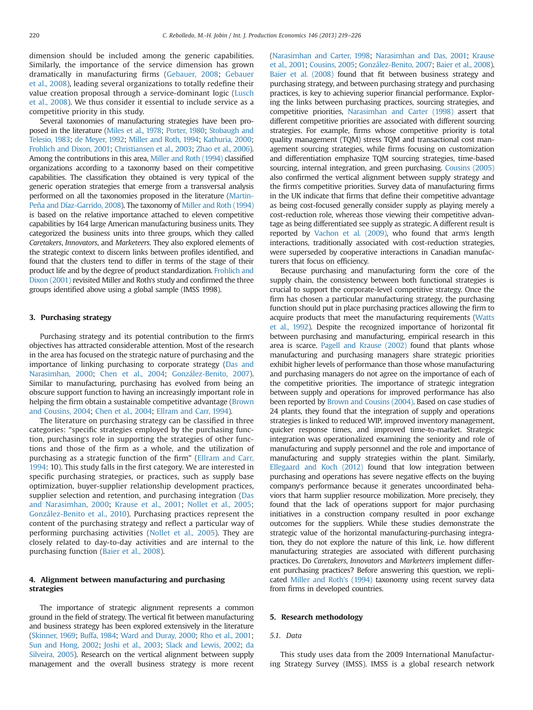dimension should be included among the generic capabilities. Similarly, the importance of the service dimension has grown dramatically in manufacturing firms [\(Gebauer, 2008](#page--1-0); [Gebauer](#page--1-0) [et al., 2008\)](#page--1-0), leading several organizations to totally redefine their value creation proposal through a service-dominant logic [\(Lusch](#page--1-0) [et al., 2008\)](#page--1-0). We thus consider it essential to include service as a competitive priority in this study.

Several taxonomies of manufacturing strategies have been proposed in the literature [\(Miles et al., 1978](#page--1-0); [Porter, 1980;](#page--1-0) [Stobaugh and](#page--1-0) [Telesio, 1983](#page--1-0); [de Meyer, 1992;](#page--1-0) [Miller and Roth, 1994](#page--1-0); [Kathuria, 2000;](#page--1-0) [Frohlich and Dixon, 2001](#page--1-0); [Christiansen et al., 2003](#page--1-0); [Zhao et al., 2006](#page--1-0)). Among the contributions in this area, [Miller and Roth \(1994\)](#page--1-0) classified organizations according to a taxonomy based on their competitive capabilities. The classification they obtained is very typical of the generic operation strategies that emerge from a transversal analysis performed on all the taxonomies proposed in the literature [\(Martin-](#page--1-0)[Peña and Díaz-Garrido, 2008](#page--1-0)). The taxonomy of [Miller and Roth \(1994\)](#page--1-0) is based on the relative importance attached to eleven competitive capabilities by 164 large American manufacturing business units. They categorized the business units into three groups, which they called Caretakers, Innovators, and Marketeers. They also explored elements of the strategic context to discern links between profiles identified, and found that the clusters tend to differ in terms of the stage of their product life and by the degree of product standardization. [Frohlich and](#page--1-0) [Dixon \(2001\)](#page--1-0) revisited Miller and Roth's study and confirmed the three groups identified above using a global sample (IMSS 1998).

#### 3. Purchasing strategy

Purchasing strategy and its potential contribution to the firm's objectives has attracted considerable attention. Most of the research in the area has focused on the strategic nature of purchasing and the importance of linking purchasing to corporate strategy [\(Das and](#page--1-0) [Narasimhan, 2000;](#page--1-0) [Chen et al., 2004;](#page--1-0) [González-Benito, 2007\)](#page--1-0). Similar to manufacturing, purchasing has evolved from being an obscure support function to having an increasingly important role in helping the firm obtain a sustainable competitive advantage [\(Brown](#page--1-0) [and Cousins, 2004](#page--1-0); [Chen et al., 2004;](#page--1-0) [Ellram and Carr, 1994](#page--1-0)).

The literature on purchasing strategy can be classified in three categories: "specific strategies employed by the purchasing function, purchasing's role in supporting the strategies of other functions and those of the firm as a whole, and the utilization of purchasing as a strategic function of the firm" ([Ellram and Carr,](#page--1-0) [1994](#page--1-0): 10). This study falls in the first category. We are interested in specific purchasing strategies, or practices, such as supply base optimization, buyer-supplier relationship development practices, supplier selection and retention, and purchasing integration [\(Das](#page--1-0) [and Narasimhan, 2000;](#page--1-0) [Krause et al., 2001;](#page--1-0) [Nollet et al., 2005;](#page--1-0) [González-Benito et al., 2010](#page--1-0)). Purchasing practices represent the content of the purchasing strategy and reflect a particular way of performing purchasing activities [\(Nollet et al., 2005](#page--1-0)). They are closely related to day-to-day activities and are internal to the purchasing function ([Baier et al., 2008](#page--1-0)).

### 4. Alignment between manufacturing and purchasing strategies

The importance of strategic alignment represents a common ground in the field of strategy. The vertical fit between manufacturing and business strategy has been explored extensively in the literature ([Skinner, 1969](#page--1-0); [Buffa, 1984](#page--1-0); [Ward and Duray, 2000](#page--1-0); [Rho et al., 2001;](#page--1-0) [Sun and Hong, 2002](#page--1-0); [Joshi et al., 2003](#page--1-0); [Slack and Lewis, 2002;](#page--1-0) [da](#page--1-0) [Silveira, 2005](#page--1-0)). Research on the vertical alignment between supply management and the overall business strategy is more recent [\(Narasimhan and Carter, 1998](#page--1-0); [Narasimhan and Das, 2001;](#page--1-0) [Krause](#page--1-0) [et al., 2001](#page--1-0); [Cousins, 2005](#page--1-0); [González-Benito, 2007;](#page--1-0) [Baier et al., 2008](#page--1-0)). [Baier et al. \(2008\)](#page--1-0) found that fit between business strategy and purchasing strategy, and between purchasing strategy and purchasing practices, is key to achieving superior financial performance. Exploring the links between purchasing practices, sourcing strategies, and competitive priorities, [Narasimhan and Carter \(1998\)](#page--1-0) assert that different competitive priorities are associated with different sourcing strategies. For example, firms whose competitive priority is total quality management (TQM) stress TQM and transactional cost management sourcing strategies, while firms focusing on customization and differentiation emphasize TQM sourcing strategies, time-based sourcing, internal integration, and green purchasing. [Cousins \(2005\)](#page--1-0) also confirmed the vertical alignment between supply strategy and the firm's competitive priorities. Survey data of manufacturing firms in the UK indicate that firms that define their competitive advantage as being cost-focused generally consider supply as playing merely a cost-reduction role, whereas those viewing their competitive advantage as being differentiated see supply as strategic. A different result is reported by [Vachon et al. \(2009\)](#page--1-0), who found that arm's length interactions, traditionally associated with cost-reduction strategies, were superseded by cooperative interactions in Canadian manufacturers that focus on efficiency.

Because purchasing and manufacturing form the core of the supply chain, the consistency between both functional strategies is crucial to support the corporate-level competitive strategy. Once the firm has chosen a particular manufacturing strategy, the purchasing function should put in place purchasing practices allowing the firm to acquire products that meet the manufacturing requirements [\(Watts](#page--1-0) [et al., 1992\)](#page--1-0). Despite the recognized importance of horizontal fit between purchasing and manufacturing, empirical research in this area is scarce. [Pagell and Krause \(2002\)](#page--1-0) found that plants whose manufacturing and purchasing managers share strategic priorities exhibit higher levels of performance than those whose manufacturing and purchasing managers do not agree on the importance of each of the competitive priorities. The importance of strategic integration between supply and operations for improved performance has also been reported by [Brown and Cousins \(2004\).](#page--1-0) Based on case studies of 24 plants, they found that the integration of supply and operations strategies is linked to reduced WIP, improved inventory management, quicker response times, and improved time-to-market. Strategic integration was operationalized examining the seniority and role of manufacturing and supply personnel and the role and importance of manufacturing and supply strategies within the plant. Similarly, [Ellegaard and Koch \(2012\)](#page--1-0) found that low integration between purchasing and operations has severe negative effects on the buying company's performance because it generates uncoordinated behaviors that harm supplier resource mobilization. More precisely, they found that the lack of operations support for major purchasing initiatives in a construction company resulted in poor exchange outcomes for the suppliers. While these studies demonstrate the strategic value of the horizontal manufacturing-purchasing integration, they do not explore the nature of this link, i.e. how different manufacturing strategies are associated with different purchasing practices. Do Caretakers, Innovators and Marketeers implement different purchasing practices? Before answering this question, we replicated [Miller and Roth](#page--1-0)'s (1994) taxonomy using recent survey data from firms in developed countries.

#### 5. Research methodology

#### 5.1. Data

This study uses data from the 2009 International Manufacturing Strategy Survey (IMSS). IMSS is a global research network